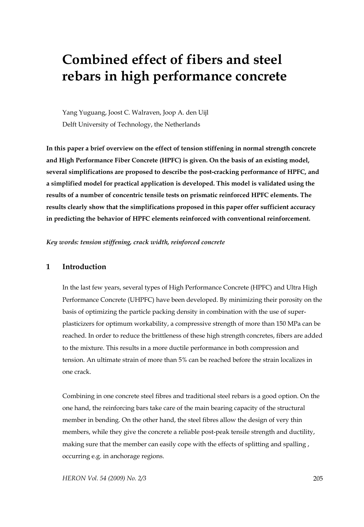# **Combined effect of fibers and steel rebars in high performance concrete**

Yang Yuguang, Joost C. Walraven, Joop A. den Uijl Delft University of Technology, the Netherlands

**In this paper a brief overview on the effect of tension stiffening in normal strength concrete and High Performance Fiber Concrete (HPFC) is given. On the basis of an existing model, several simplifications are proposed to describe the post-cracking performance of HPFC, and a simplified model for practical application is developed. This model is validated using the results of a number of concentric tensile tests on prismatic reinforced HPFC elements. The results clearly show that the simplifications proposed in this paper offer sufficient accuracy in predicting the behavior of HPFC elements reinforced with conventional reinforcement.** 

*Key words: tension stiffening, crack width, reinforced concrete* 

# **1 Introduction**

In the last few years, several types of High Performance Concrete (HPFC) and Ultra High Performance Concrete (UHPFC) have been developed. By minimizing their porosity on the basis of optimizing the particle packing density in combination with the use of superplasticizers for optimum workability, a compressive strength of more than 150 MPa can be reached. In order to reduce the brittleness of these high strength concretes, fibers are added to the mixture. This results in a more ductile performance in both compression and tension. An ultimate strain of more than 5% can be reached before the strain localizes in one crack.

Combining in one concrete steel fibres and traditional steel rebars is a good option. On the one hand, the reinforcing bars take care of the main bearing capacity of the structural member in bending. On the other hand, the steel fibres allow the design of very thin members, while they give the concrete a reliable post-peak tensile strength and ductility, making sure that the member can easily cope with the effects of splitting and spalling , occurring e.g. in anchorage regions.

*HERON Vol. 54 (2009) No. 2/3* 205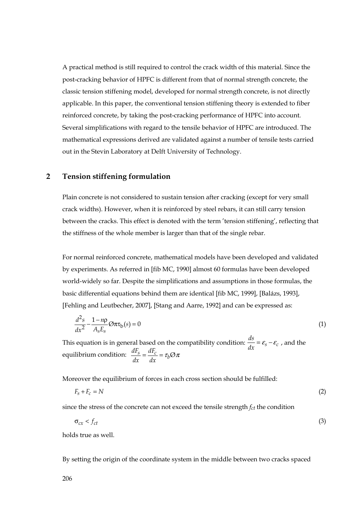A practical method is still required to control the crack width of this material. Since the post-cracking behavior of HPFC is different from that of normal strength concrete, the classic tension stiffening model, developed for normal strength concrete, is not directly applicable. In this paper, the conventional tension stiffening theory is extended to fiber reinforced concrete, by taking the post-cracking performance of HPFC into account. Several simplifications with regard to the tensile behavior of HPFC are introduced. The mathematical expressions derived are validated against a number of tensile tests carried out in the Stevin Laboratory at Delft University of Technology.

#### **2 Tension stiffening formulation**

Plain concrete is not considered to sustain tension after cracking (except for very small crack widths). However, when it is reinforced by steel rebars, it can still carry tension between the cracks. This effect is denoted with the term 'tension stiffening', reflecting that the stiffness of the whole member is larger than that of the single rebar.

For normal reinforced concrete, mathematical models have been developed and validated by experiments. As referred in [fib MC, 1990] almost 60 formulas have been developed world-widely so far. Despite the simplifications and assumptions in those formulas, the basic differential equations behind them are identical [fib MC, 1999], [Balázs, 1993], [Fehling and Leutbecher, 2007], [Stang and Aarre, 1992] and can be expressed as:

$$
\frac{d^2s}{dx^2} - \frac{1 - n\rho}{A_s E_s} \mathcal{O}\pi\tau_b(s) = 0
$$
\n(1)

This equation is in general based on the compatibility condition:  $\frac{ds}{dx} = \varepsilon_s - \varepsilon_c$ , and the equilibrium condition:  $\frac{dF_s}{dx} = \frac{dF_c}{dx} = \tau_b \varnothing \pi$ 

Moreover the equilibrium of forces in each cross section should be fulfilled:

$$
F_s + F_c = N \tag{2}
$$

since the stress of the concrete can not exceed the tensile strength *fct* the condition

$$
\sigma_{cx} < f_{ct} \tag{3}
$$

holds true as well.

By setting the origin of the coordinate system in the middle between two cracks spaced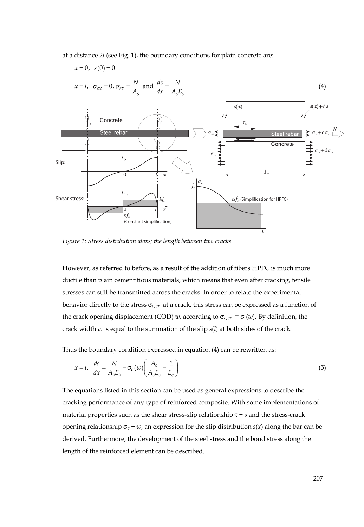at a distance 2*l* (see Fig. 1), the boundary conditions for plain concrete are:

 $x = 0, s(0) = 0$ 



$$
x = l
$$
,  $\sigma_{cx} = 0$ ,  $\sigma_{sx} = \frac{N}{A_s}$  and  $\frac{ds}{dx} = \frac{N}{A_s E_s}$  (4)

*Figure 1: Stress distribution along the length between two cracks* 

However, as referred to before, as a result of the addition of fibers HPFC is much more ductile than plain cementitious materials, which means that even after cracking, tensile stresses can still be transmitted across the cracks. In order to relate the experimental behavior directly to the stress  $\sigma_{c,cr}$  at a crack, this stress can be expressed as a function of the crack opening displacement (COD) *w*, according to  $\sigma_{c,cr} = \sigma(w)$ . By definition, the crack width *w* is equal to the summation of the slip *s*(*l*) at both sides of the crack.

Thus the boundary condition expressed in equation (4) can be rewritten as:

$$
x = l, \quad \frac{ds}{dx} = \frac{N}{A_s E_s} - \sigma_c(w) \left( \frac{A_c}{A_s E_s} - \frac{1}{E_c} \right)
$$
(5)

The equations listed in this section can be used as general expressions to describe the cracking performance of any type of reinforced composite. With some implementations of material properties such as the shear stress-slip relationship τ − *s* and the stress-crack opening relationship  $\sigma_c - w$ , an expression for the slip distribution *s*(*x*) along the bar can be derived. Furthermore, the development of the steel stress and the bond stress along the length of the reinforced element can be described.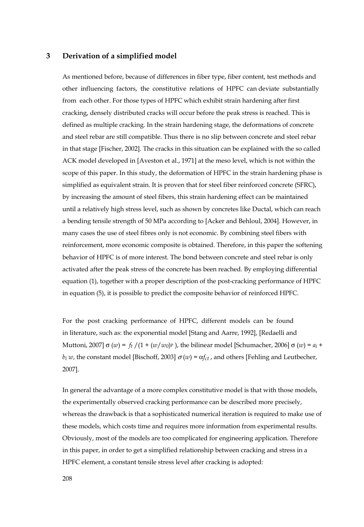#### **3 Derivation of a simplified model**

As mentioned before, because of differences in fiber type, fiber content, test methods and other influencing factors, the constitutive relations of HPFC can deviate substantially from each other. For those types of HPFC which exhibit strain hardening after first cracking, densely distributed cracks will occur before the peak stress is reached. This is defined as multiple cracking. In the strain hardening stage, the deformations of concrete and steel rebar are still compatible. Thus there is no slip between concrete and steel rebar in that stage [Fischer, 2002]. The cracks in this situation can be explained with the so called ACK model developed in [Aveston et al., 1971] at the meso level, which is not within the scope of this paper. In this study, the deformation of HPFC in the strain hardening phase is simplified as equivalent strain. It is proven that for steel fiber reinforced concrete (SFRC), by increasing the amount of steel fibers, this strain hardening effect can be maintained until a relatively high stress level, such as shown by concretes like Ductal, which can reach a bending tensile strength of 50 MPa according to [Acker and Behloul, 2004]. However, in many cases the use of steel fibres only is not economic. By combining steel fibers with reinforcement, more economic composite is obtained. Therefore, in this paper the softening behavior of HPFC is of more interest. The bond between concrete and steel rebar is only activated after the peak stress of the concrete has been reached. By employing differential equation (1), together with a proper description of the post-cracking performance of HPFC in equation (5), it is possible to predict the composite behavior of reinforced HPFC.

For the post cracking performance of HPFC, different models can be found in literature, such as: the exponential model [Stang and Aarre, 1992], [Redaelli and Muttoni, 2007]  $\sigma(w) = f_t / (1 + (w/w_0) p)$ , the bilinear model [Schumacher, 2006]  $\sigma(w) = a_i +$ *b<sub>i</sub> w*, the constant model [Bischoff, 2003]  $\sigma(w) = \alpha f_{ct}$ , and others [Fehling and Leutbecher, 2007].

In general the advantage of a more complex constitutive model is that with those models, the experimentally observed cracking performance can be described more precisely, whereas the drawback is that a sophisticated numerical iteration is required to make use of these models, which costs time and requires more information from experimental results. Obviously, most of the models are too complicated for engineering application. Therefore in this paper, in order to get a simplified relationship between cracking and stress in a HPFC element, a constant tensile stress level after cracking is adopted: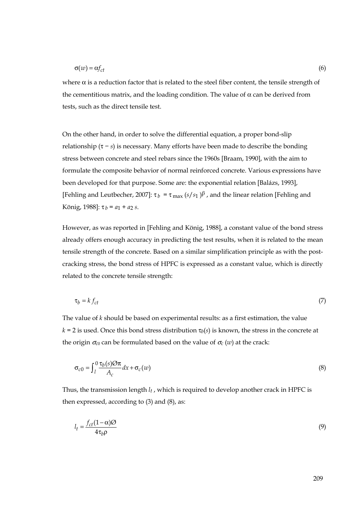$$
\sigma(w) = \alpha f_{ct} \tag{6}
$$

where  $\alpha$  is a reduction factor that is related to the steel fiber content, the tensile strength of the cementitious matrix, and the loading condition. The value of  $\alpha$  can be derived from tests, such as the direct tensile test.

On the other hand, in order to solve the differential equation, a proper bond-slip relationship  $(\tau - s)$  is necessary. Many efforts have been made to describe the bonding stress between concrete and steel rebars since the 1960s [Braam, 1990], with the aim to formulate the composite behavior of normal reinforced concrete. Various expressions have been developed for that purpose. Some are: the exponential relation [Balázs, 1993], [Fehling and Leutbecher, 2007]:  $\tau_b = \tau_{\text{max}} (s/s_1)^\beta$ , and the linear relation [Fehling and König, 1988]: τ *b* = *a*1 + *a*2 *s*.

However, as was reported in [Fehling and König, 1988], a constant value of the bond stress already offers enough accuracy in predicting the test results, when it is related to the mean tensile strength of the concrete. Based on a similar simplification principle as with the postcracking stress, the bond stress of HPFC is expressed as a constant value, which is directly related to the concrete tensile strength:

$$
\tau_b = k f_{ct} \tag{7}
$$

The value of *k* should be based on experimental results: as a first estimation, the value  $k = 2$  is used. Once this bond stress distribution  $\tau_b(s)$  is known, the stress in the concrete at the origin  $\sigma_{c0}$  can be formulated based on the value of  $\sigma_c(w)$  at the crack:

$$
\sigma_{c0} = \int_{l}^{0} \frac{\tau_{b}(s)\mathcal{O}\pi}{A_{c}} dx + \sigma_{c}(w)
$$
\n(8)

Thus, the transmission length *lt* , which is required to develop another crack in HPFC is then expressed, according to (3) and (8), as:

$$
l_t = \frac{f_{ct}(1-\alpha)\mathcal{O}}{4\tau_b\rho} \tag{9}
$$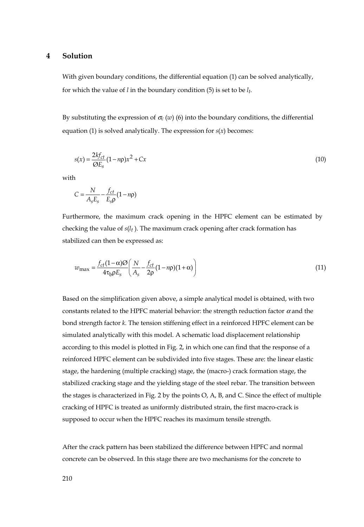#### **4 Solution**

With given boundary conditions, the differential equation (1) can be solved analytically, for which the value of *l* in the boundary condition (5) is set to be *lt*.

By substituting the expression of  $\sigma_c(w)$  (6) into the boundary conditions, the differential equation (1) is solved analytically. The expression for *s*(*x*) becomes:

$$
s(x) = \frac{2kf_{ct}}{\mathcal{O}E_s} (1 - n\rho)x^2 + Cx \tag{10}
$$

with

$$
C = \frac{N}{A_s E_s} - \frac{f_{ct}}{E_s \rho} (1 - n\rho)
$$

Furthermore, the maximum crack opening in the HPFC element can be estimated by checking the value of *s*(*lt* ). The maximum crack opening after crack formation has stabilized can then be expressed as:

$$
w_{\text{max}} = \frac{f_{ct}(1-\alpha)\mathcal{O}}{4\tau_b\rho E_s} \left(\frac{N}{A_s} - \frac{f_{ct}}{2\rho}(1-n\rho)(1+\alpha)\right)
$$
(11)

Based on the simplification given above, a simple analytical model is obtained, with two constants related to the HPFC material behavior: the strength reduction factor  $\alpha$  and the bond strength factor *k*. The tension stiffening effect in a reinforced HPFC element can be simulated analytically with this model. A schematic load displacement relationship according to this model is plotted in Fig. 2, in which one can find that the response of a reinforced HPFC element can be subdivided into five stages. These are: the linear elastic stage, the hardening (multiple cracking) stage, the (macro-) crack formation stage, the stabilized cracking stage and the yielding stage of the steel rebar. The transition between the stages is characterized in Fig. 2 by the points O, A, B, and C. Since the effect of multiple cracking of HPFC is treated as uniformly distributed strain, the first macro-crack is supposed to occur when the HPFC reaches its maximum tensile strength.

After the crack pattern has been stabilized the difference between HPFC and normal concrete can be observed. In this stage there are two mechanisms for the concrete to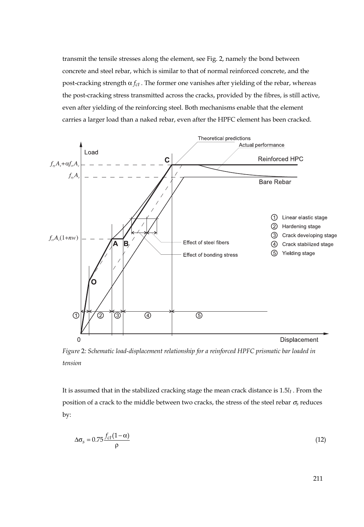transmit the tensile stresses along the element, see Fig. 2, namely the bond between concrete and steel rebar, which is similar to that of normal reinforced concrete, and the post-cracking strength  $α f<sub>ct</sub>$ . The former one vanishes after yielding of the rebar, whereas the post-cracking stress transmitted across the cracks, provided by the fibres, is still active, even after yielding of the reinforcing steel. Both mechanisms enable that the element carries a larger load than a naked rebar, even after the HPFC element has been cracked.



*Figure* 2*: Schematic load-displacement relationship for a reinforced HPFC prismatic bar loaded in tension* 

It is assumed that in the stabilized cracking stage the mean crack distance is 1.5*lt* . From the position of a crack to the middle between two cracks, the stress of the steel rebar σ*s* reduces by:

$$
\Delta \sigma_s = 0.75 \frac{f_{ct}(1-\alpha)}{\rho} \tag{12}
$$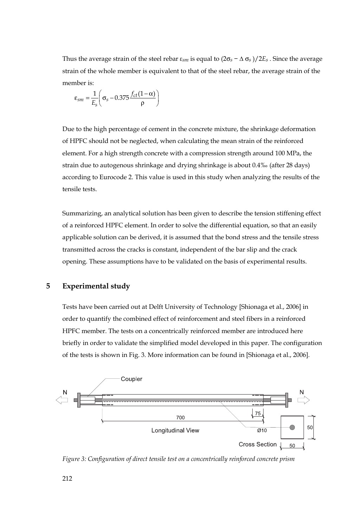Thus the average strain of the steel rebar  $\varepsilon_{sm}$  is equal to  $(2\sigma_s - \Delta \sigma_s)/2E_s$ . Since the average strain of the whole member is equivalent to that of the steel rebar, the average strain of the member is:

$$
\varepsilon_{sm} = \frac{1}{E_s} \left( \sigma_s - 0.375 \frac{f_{ct}(1-\alpha)}{\rho} \right)
$$

Due to the high percentage of cement in the concrete mixture, the shrinkage deformation of HPFC should not be neglected, when calculating the mean strain of the reinforced element. For a high strength concrete with a compression strength around 100 MPa, the strain due to autogenous shrinkage and drying shrinkage is about 0.4‰ (after 28 days) according to Eurocode 2. This value is used in this study when analyzing the results of the tensile tests.

Summarizing, an analytical solution has been given to describe the tension stiffening effect of a reinforced HPFC element. In order to solve the differential equation, so that an easily applicable solution can be derived, it is assumed that the bond stress and the tensile stress transmitted across the cracks is constant, independent of the bar slip and the crack opening. These assumptions have to be validated on the basis of experimental results.

# **5 Experimental study**

Tests have been carried out at Delft University of Technology [Shionaga et al., 2006] in order to quantify the combined effect of reinforcement and steel fibers in a reinforced HPFC member. The tests on a concentrically reinforced member are introduced here briefly in order to validate the simplified model developed in this paper. The configuration of the tests is shown in Fig. 3. More information can be found in [Shionaga et al., 2006].



*Figure 3: Configuration of direct tensile test on a concentrically reinforced concrete prism*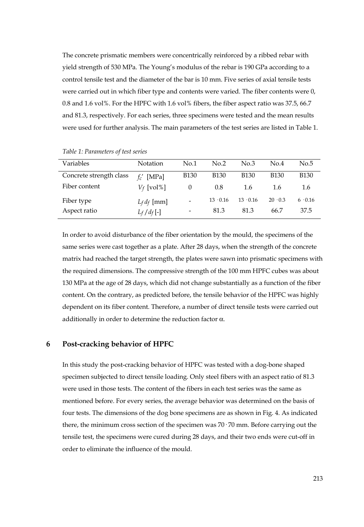The concrete prismatic members were concentrically reinforced by a ribbed rebar with yield strength of 530 MPa. The Young's modulus of the rebar is 190 GPa according to a control tensile test and the diameter of the bar is 10 mm. Five series of axial tensile tests were carried out in which fiber type and contents were varied. The fiber contents were 0, 0.8 and 1.6 vol%. For the HPFC with 1.6 vol% fibers, the fiber aspect ratio was 37.5, 66.7 and 81.3, respectively. For each series, three specimens were tested and the mean results were used for further analysis. The main parameters of the test series are listed in Table 1.

| Variables               | Notation      | No.1                     | No.2            | No.3            | No.4           | No.5           |
|-------------------------|---------------|--------------------------|-----------------|-----------------|----------------|----------------|
| Concrete strength class | [MPa]<br>f'   | <b>B130</b>              | <b>B130</b>     | <b>B130</b>     | <b>B130</b>    | <b>B130</b>    |
| Fiber content           | $V_f$ [vol%]  | 0                        | 0.8             | 1.6             | 1.6            | 1.6            |
| Fiber type              | $L_f$ df [mm] | $\overline{a}$           | $13 \cdot 0.16$ | $13 \cdot 0.16$ | $20 \cdot 0.3$ | $6 \cdot 0.16$ |
| Aspect ratio            | $L_f/d_f$ [-] | $\overline{\phantom{a}}$ | 81.3            | 81.3            | 66.7           | 37.5           |

*Table 1: Parameters of test series* 

In order to avoid disturbance of the fiber orientation by the mould, the specimens of the same series were cast together as a plate. After 28 days, when the strength of the concrete matrix had reached the target strength, the plates were sawn into prismatic specimens with the required dimensions. The compressive strength of the 100 mm HPFC cubes was about 130 MPa at the age of 28 days, which did not change substantially as a function of the fiber content. On the contrary, as predicted before, the tensile behavior of the HPFC was highly dependent on its fiber content. Therefore, a number of direct tensile tests were carried out additionally in order to determine the reduction factor  $\alpha$ .

#### **6 Post-cracking behavior of HPFC**

In this study the post-cracking behavior of HPFC was tested with a dog-bone shaped specimen subjected to direct tensile loading. Only steel fibers with an aspect ratio of 81.3 were used in those tests. The content of the fibers in each test series was the same as mentioned before. For every series, the average behavior was determined on the basis of four tests. The dimensions of the dog bone specimens are as shown in Fig. 4. As indicated there, the minimum cross section of the specimen was  $70 \cdot 70$  mm. Before carrying out the tensile test, the specimens were cured during 28 days, and their two ends were cut-off in order to eliminate the influence of the mould.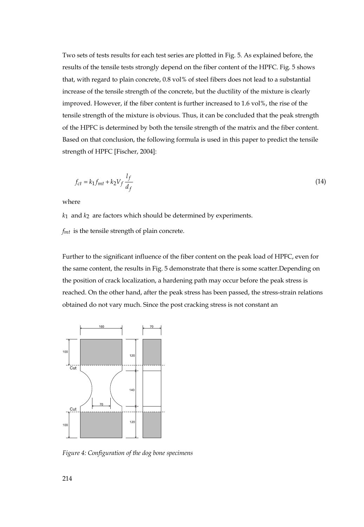Two sets of tests results for each test series are plotted in Fig. 5. As explained before, the results of the tensile tests strongly depend on the fiber content of the HPFC. Fig. 5 shows that, with regard to plain concrete, 0.8 vol% of steel fibers does not lead to a substantial increase of the tensile strength of the concrete, but the ductility of the mixture is clearly improved. However, if the fiber content is further increased to 1.6 vol%, the rise of the tensile strength of the mixture is obvious. Thus, it can be concluded that the peak strength of the HPFC is determined by both the tensile strength of the matrix and the fiber content. Based on that conclusion, the following formula is used in this paper to predict the tensile strength of HPFC [Fischer, 2004]:

$$
f_{ct} = k_1 f_{mt} + k_2 V_f \frac{l_f}{d_f} \tag{14}
$$

where

*k*1 and *k*2 are factors which should be determined by experiments.

*fmt* is the tensile strength of plain concrete.

Further to the significant influence of the fiber content on the peak load of HPFC, even for the same content, the results in Fig. 5 demonstrate that there is some scatter.Depending on the position of crack localization, a hardening path may occur before the peak stress is reached. On the other hand, after the peak stress has been passed, the stress-strain relations obtained do not vary much. Since the post cracking stress is not constant an



*Figure 4: Configuration of the dog bone specimens*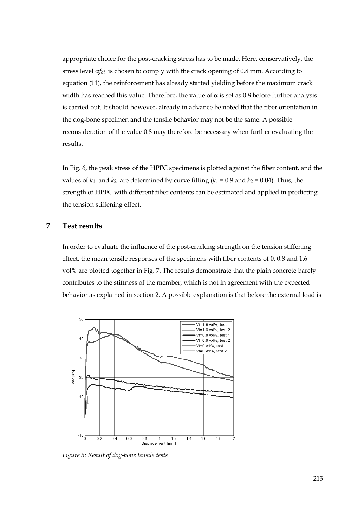appropriate choice for the post-cracking stress has to be made. Here, conservatively, the stress level α*fct* is chosen to comply with the crack opening of 0.8 mm. According to equation (11), the reinforcement has already started yielding before the maximum crack width has reached this value. Therefore, the value of  $\alpha$  is set as 0.8 before further analysis is carried out. It should however, already in advance be noted that the fiber orientation in the dog-bone specimen and the tensile behavior may not be the same. A possible reconsideration of the value 0.8 may therefore be necessary when further evaluating the results.

In Fig. 6, the peak stress of the HPFC specimens is plotted against the fiber content, and the values of  $k_1$  and  $k_2$  are determined by curve fitting  $(k_1 = 0.9$  and  $k_2 = 0.04$ ). Thus, the strength of HPFC with different fiber contents can be estimated and applied in predicting the tension stiffening effect.

### **7 Test results**

In order to evaluate the influence of the post-cracking strength on the tension stiffening effect, the mean tensile responses of the specimens with fiber contents of 0, 0.8 and 1.6 vol% are plotted together in Fig. 7. The results demonstrate that the plain concrete barely contributes to the stiffness of the member, which is not in agreement with the expected behavior as explained in section 2. A possible explanation is that before the external load is



*Figure 5: Result of dog-bone tensile tests*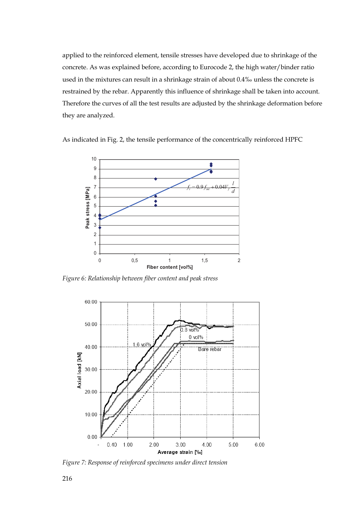applied to the reinforced element, tensile stresses have developed due to shrinkage of the concrete. As was explained before, according to Eurocode 2, the high water/binder ratio used in the mixtures can result in a shrinkage strain of about 0.4‰ unless the concrete is restrained by the rebar. Apparently this influence of shrinkage shall be taken into account. Therefore the curves of all the test results are adjusted by the shrinkage deformation before they are analyzed.

As indicated in Fig. 2, the tensile performance of the concentrically reinforced HPFC



*Figure 6: Relationship between fiber content and peak stress* 



*Figure 7: Response of reinforced specimens under direct tension*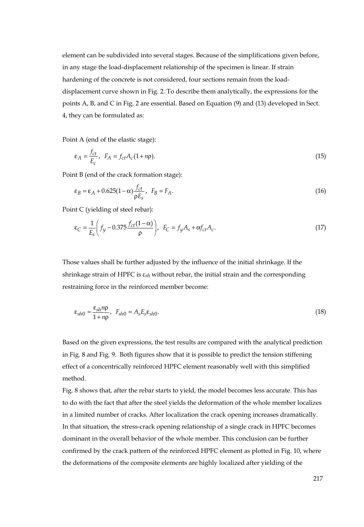element can be subdivided into several stages. Because of the simplifications given before, in any stage the load-displacement relationship of the specimen is linear. If strain hardening of the concrete is not considered, four sections remain from the loaddisplacement curve shown in Fig. 2. To describe them analytically, the expressions for the points A, B, and C in Fig. 2 are essential. Based on Equation (9) and (13) developed in Sect. 4, they can be formulated as:

Point A (end of the elastic stage):

$$
\varepsilon_A = \frac{f_{ct}}{E_c}, \quad F_A = f_{ct} A_c (1 + n \rho). \tag{15}
$$

Point B (end of the crack formation stage):

$$
\varepsilon_B = \varepsilon_A + 0.625(1 - \alpha) \frac{f_{ct}}{\rho E_s}, \quad F_B = F_A. \tag{16}
$$

Point C (yielding of steel rebar):

$$
\varepsilon_C = \frac{1}{E_s} \left( f_y - 0.375 \frac{f_{ct}(1 - \alpha)}{\rho} \right), \quad F_C = f_y A_s + \alpha f_{ct} A_c. \tag{17}
$$

Those values shall be further adjusted by the influence of the initial shrinkage. If the shrinkage strain of HPFC is ε*sh* without rebar, the initial strain and the corresponding restraining force in the reinforced member become:

$$
\varepsilon_{sh0} = \frac{\varepsilon_{sh} n \rho}{1 + n \rho}, \quad F_{sh0} = A_s E_s \varepsilon_{sh0}.
$$
\n(18)

Based on the given expressions, the test results are compared with the analytical prediction in Fig. 8 and Fig. 9. Both figures show that it is possible to predict the tension stiffening effect of a concentrically reinforced HPFC element reasonably well with this simplified method.

Fig. 8 shows that, after the rebar starts to yield, the model becomes less accurate. This has to do with the fact that after the steel yields the deformation of the whole member localizes in a limited number of cracks. After localization the crack opening increases dramatically. In that situation, the stress-crack opening relationship of a single crack in HPFC becomes dominant in the overall behavior of the whole member. This conclusion can be further confirmed by the crack pattern of the reinforced HPFC element as plotted in Fig. 10, where the deformations of the composite elements are highly localized after yielding of the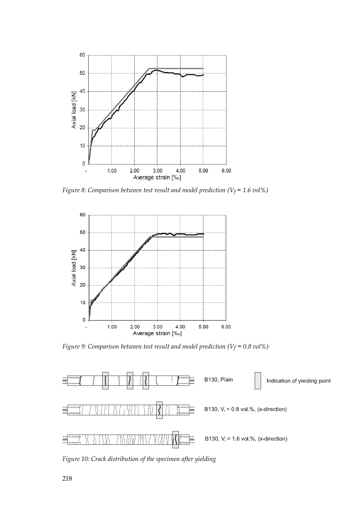

*Figure 8: Comparison between test result and model prediction (Vf* = 1.6 *vol%)* 



*Figure 9: Comparison between test result and model prediction (V<sub>f</sub> = 0.8 vol%)* 



*Figure 10: Crack distribution of the specimen after yielding*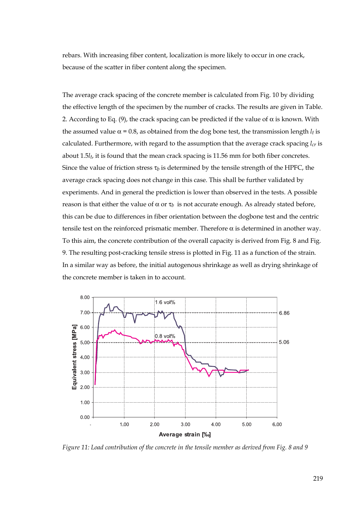rebars. With increasing fiber content, localization is more likely to occur in one crack, because of the scatter in fiber content along the specimen.

The average crack spacing of the concrete member is calculated from Fig. 10 by dividing the effective length of the specimen by the number of cracks. The results are given in Table. 2. According to Eq. (9), the crack spacing can be predicted if the value of  $\alpha$  is known. With the assumed value  $\alpha = 0.8$ , as obtained from the dog bone test, the transmission length  $l_t$  is calculated. Furthermore, with regard to the assumption that the average crack spacing  $l_{cr}$  is about 1.5*lt*, it is found that the mean crack spacing is 11.56 mm for both fiber concretes. Since the value of friction stress  $\tau_b$  is determined by the tensile strength of the HPFC, the average crack spacing does not change in this case. This shall be further validated by experiments. And in general the prediction is lower than observed in the tests. A possible reason is that either the value of α or  $τ<sub>b</sub>$  is not accurate enough. As already stated before, this can be due to differences in fiber orientation between the dogbone test and the centric tensile test on the reinforced prismatic member. Therefore  $\alpha$  is determined in another way. To this aim, the concrete contribution of the overall capacity is derived from Fig. 8 and Fig. 9. The resulting post-cracking tensile stress is plotted in Fig. 11 as a function of the strain. In a similar way as before, the initial autogenous shrinkage as well as drying shrinkage of the concrete member is taken in to account.



*Figure 11: Load contribution of the concrete in the tensile member as derived from Fig. 8 and 9*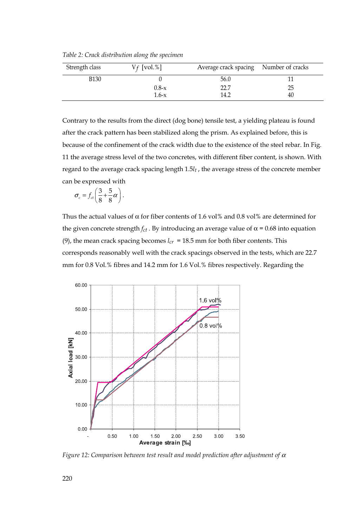*Table 2: Crack distribution along the specimen* 

| Strength class | $V_f$ [vol.%]      | Average crack spacing Number of cracks |          |
|----------------|--------------------|----------------------------------------|----------|
| <b>B130</b>    |                    | 56.0                                   |          |
|                | $0.8 - x$<br>1.6-x | 22.7<br>14.2                           | 25<br>40 |

Contrary to the results from the direct (dog bone) tensile test, a yielding plateau is found after the crack pattern has been stabilized along the prism. As explained before, this is because of the confinement of the crack width due to the existence of the steel rebar. In Fig. 11 the average stress level of the two concretes, with different fiber content, is shown. With regard to the average crack spacing length 1.5*lt* , the average stress of the concrete member can be expressed with

$$
\sigma_c = f_{ct} \left( \frac{3}{8} + \frac{5}{8} \alpha \right).
$$

Thus the actual values of  $\alpha$  for fiber contents of 1.6 vol% and 0.8 vol% are determined for the given concrete strength  $f_{ct}$ . By introducing an average value of  $\alpha$  = 0.68 into equation (9), the mean crack spacing becomes  $l_{cr}$  = 18.5 mm for both fiber contents. This corresponds reasonably well with the crack spacings observed in the tests, which are 22.7 mm for 0.8 Vol.% fibres and 14.2 mm for 1.6 Vol.% fibres respectively. Regarding the



*Figure 12: Comparison between test result and model prediction after adjustment of* α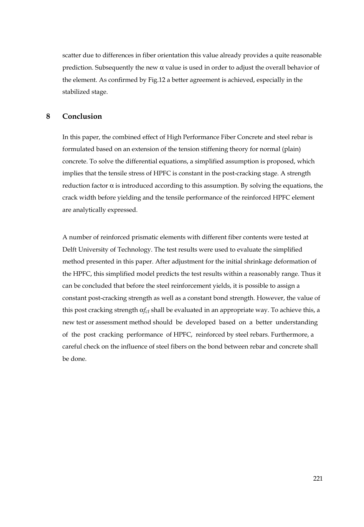scatter due to differences in fiber orientation this value already provides a quite reasonable prediction. Subsequently the new  $\alpha$  value is used in order to adjust the overall behavior of the element. As confirmed by Fig.12 a better agreement is achieved, especially in the stabilized stage.

#### **8 Conclusion**

In this paper, the combined effect of High Performance Fiber Concrete and steel rebar is formulated based on an extension of the tension stiffening theory for normal (plain) concrete. To solve the differential equations, a simplified assumption is proposed, which implies that the tensile stress of HPFC is constant in the post-cracking stage. A strength reduction factor  $\alpha$  is introduced according to this assumption. By solving the equations, the crack width before yielding and the tensile performance of the reinforced HPFC element are analytically expressed.

A number of reinforced prismatic elements with different fiber contents were tested at Delft University of Technology. The test results were used to evaluate the simplified method presented in this paper. After adjustment for the initial shrinkage deformation of the HPFC, this simplified model predicts the test results within a reasonably range. Thus it can be concluded that before the steel reinforcement yields, it is possible to assign a constant post-cracking strength as well as a constant bond strength. However, the value of this post cracking strength α*fct* shall be evaluated in an appropriate way. To achieve this, a new test or assessment method should be developed based on a better understanding of the post cracking performance of HPFC, reinforced by steel rebars. Furthermore, a careful check on the influence of steel fibers on the bond between rebar and concrete shall be done.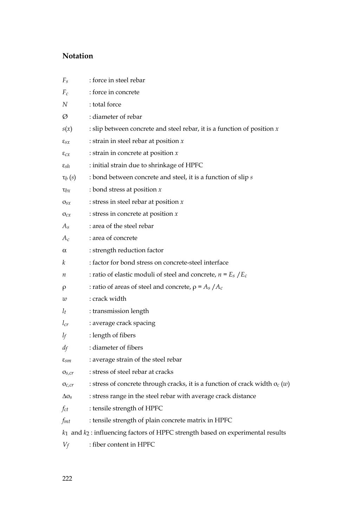# **Notation**

| $F_s$                                                                                | : force in steel rebar                                                             |  |  |
|--------------------------------------------------------------------------------------|------------------------------------------------------------------------------------|--|--|
| $F_c$                                                                                | : force in concrete                                                                |  |  |
| N                                                                                    | : total force                                                                      |  |  |
| Ø                                                                                    | : diameter of rebar                                                                |  |  |
| s(x)                                                                                 | : slip between concrete and steel rebar, it is a function of position $x$          |  |  |
| $\epsilon_{sx}$                                                                      | : strain in steel rebar at position $x$                                            |  |  |
| $\varepsilon_{\mathcal{C}\mathcal{X}}$                                               | : strain in concrete at position $x$                                               |  |  |
| $\varepsilon_{\rm sh}$                                                               | : initial strain due to shrinkage of HPFC                                          |  |  |
| $\tau_b(s)$                                                                          | : bond between concrete and steel, it is a function of slip s                      |  |  |
| $\tau_{bx}$                                                                          | : bond stress at position $x$                                                      |  |  |
| $\sigma_{sx}$                                                                        | : stress in steel rebar at position $x$                                            |  |  |
| $\sigma_{cx}$                                                                        | : stress in concrete at position $x$                                               |  |  |
| $A_s$                                                                                | : area of the steel rebar                                                          |  |  |
| $A_c$                                                                                | : area of concrete                                                                 |  |  |
| $\alpha$                                                                             | : strength reduction factor                                                        |  |  |
| k                                                                                    | : factor for bond stress on concrete-steel interface                               |  |  |
| n                                                                                    | : ratio of elastic moduli of steel and concrete, $n = E_s / E_c$                   |  |  |
| ρ                                                                                    | : ratio of areas of steel and concrete, $\rho = A_s / A_c$                         |  |  |
| w                                                                                    | : crack width                                                                      |  |  |
| $l_t$                                                                                | : transmission length                                                              |  |  |
| $l_{cr}$                                                                             | : average crack spacing                                                            |  |  |
| $l_f$                                                                                | : length of fibers                                                                 |  |  |
| $d_f$                                                                                | : diameter of fibers                                                               |  |  |
| $\varepsilon_{\!}$                                                                   | : average strain of the steel rebar                                                |  |  |
| $\sigma_{s,cr}$                                                                      | : stress of steel rebar at cracks                                                  |  |  |
| $\sigma_{c,cr}$                                                                      | : stress of concrete through cracks, it is a function of crack width $\sigma_c(w)$ |  |  |
| $\Delta\sigma_s$                                                                     | : stress range in the steel rebar with average crack distance                      |  |  |
| fct                                                                                  | : tensile strength of HPFC                                                         |  |  |
| $f_{mt}$                                                                             | : tensile strength of plain concrete matrix in HPFC                                |  |  |
| $k_1$ and $k_2$ : influencing factors of HPFC strength based on experimental results |                                                                                    |  |  |

*Vf* : fiber content in HPFC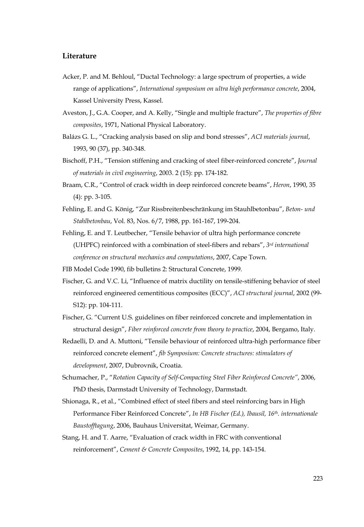## **Literature**

- Acker, P. and M. Behloul, "Ductal Technology: a large spectrum of properties, a wide range of applications", *International symposium on ultra high performance concrete*, 2004, Kassel University Press, Kassel.
- Aveston, J., G.A. Cooper, and A. Kelly, "Single and multiple fracture", *The properties of fibre composites*, 1971, National Physical Laboratory.
- Balázs G. L., "Cracking analysis based on slip and bond stresses", *ACI materials journal*, 1993, 90 (37), pp. 340-348.
- Bischoff, P.H., "Tension stiffening and cracking of steel fiber-reinforced concrete", *Journal of materials in civil engineering*, 2003. 2 (15): pp. 174-182.
- Braam, C.R., "Control of crack width in deep reinforced concrete beams", *Heron*, 1990, 35 (4): pp. 3-105.
- Fehling, E. and G. König, "Zur Rissbreitenbeschränkung im Stauhlbetonbau", *Beton- und Stahlbetonbau*, Vol. 83, Nos. 6/7, 1988, pp. 161-167, 199-204.
- Fehling, E. and T. Leutbecher, "Tensile behavior of ultra high performance concrete (UHPFC) reinforced with a combination of steel-fibers and rebars", *3rd international conference on structural mechanics and computations*, 2007, Cape Town.
- FIB Model Code 1990, fib bulletins 2: Structural Concrete, 1999.
- Fischer, G. and V.C. Li, "Influence of matrix ductility on tensile-stiffening behavior of steel reinforced engineered cementitious composites (ECC)", *ACI structural journal*, 2002 (99- S12): pp. 104-111.
- Fischer, G. "Current U.S. guidelines on fiber reinforced concrete and implementation in structural design", *Fiber reinforced concrete from theory to practice*, 2004, Bergamo, Italy.
- Redaelli, D. and A. Muttoni, "Tensile behaviour of reinforced ultra-high performance fiber reinforced concrete element", *fib Symposium: Concrete structures: stimulators of development*, 2007, Dubrovnik, Croatia.
- Schumacher, P., "*Rotation Capacity of Self-Compacting Steel Fiber Reinforced Concrete"*, 2006, PhD thesis, Darmstadt University of Technology, Darmstadt.
- Shionaga, R., et al., "Combined effect of steel fibers and steel reinforcing bars in High Performance Fiber Reinforced Concrete", *In HB Fischer (Ed.), Ibausil, 16th. internationale Baustofftagung*, 2006, Bauhaus Universitat, Weimar, Germany.
- Stang, H. and T. Aarre, "Evaluation of crack width in FRC with conventional reinforcement", *Cement & Concrete Composites*, 1992, 14, pp. 143-154.